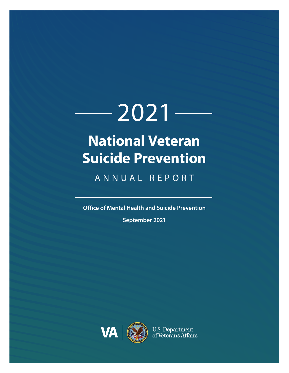# $-2021-$ **National Veteran Suicide Prevention**

# ANNUAL REPORT

**Office of Mental Health and Suicide Prevention**

**September 2021**

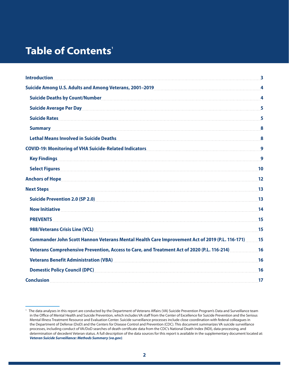# **Table of Contents'**

| <b>Introduction</b>                                                                                                                                                                                                                                                                                       | $\overline{\mathbf{3}}$ |
|-----------------------------------------------------------------------------------------------------------------------------------------------------------------------------------------------------------------------------------------------------------------------------------------------------------|-------------------------|
|                                                                                                                                                                                                                                                                                                           | 4                       |
| Suicide Deaths by Count/Number 4 and 200 million and 200 million and 30 million and 30 million and 30 million and 30 million and 30 million and 30 million and 30 million and 30 million and 30 million and 30 million and 30                                                                             |                         |
| Suicide Average Per Day Martin Martin Martin Martin Martin Martin Martin Martin Martin Martin Martin Martin Ma                                                                                                                                                                                            | 5                       |
|                                                                                                                                                                                                                                                                                                           | 5                       |
| <b>Summary</b> [1993] [1994] <b>Summary</b> [1994] <b>1995</b> [1996] <b>1996</b> [1996] <b>1996</b> [1996] <b>1996</b> [1996] <b>1996</b> [1996] <b>1996</b> [1996] <b>1996</b> [1996] <b>1996</b> [1996] <b>1996</b> [1996] <b>1996</b> [1996] <b>1996</b> [1996] <b>1996</b> [1996] <b>1996</b> [1996] |                         |
|                                                                                                                                                                                                                                                                                                           |                         |
| COVID-19: Monitoring of VHA Suicide-Related Indicators [11] COVID-19: Monitoring of VHA Suicide-Related Indicators                                                                                                                                                                                        |                         |
|                                                                                                                                                                                                                                                                                                           |                         |
| Select Figures <b>Executive Select Figures (Executive Contract Contract Contract Contract Contract Contract Contract Contract Contract Contract Contract Contract Contract Contract Contract Contract Contract Contract Contract</b>                                                                      | 10                      |
|                                                                                                                                                                                                                                                                                                           |                         |
|                                                                                                                                                                                                                                                                                                           | 13                      |
|                                                                                                                                                                                                                                                                                                           |                         |
| Now Initiative Material Committee Committee Committee Committee Committee Committee Committee Committee Commit                                                                                                                                                                                            | 14                      |
|                                                                                                                                                                                                                                                                                                           | 15                      |
|                                                                                                                                                                                                                                                                                                           |                         |
| 15 (P.L. 116-171) Commander John Scott Hannon Veterans Mental Health Care Improvement Act of 2019                                                                                                                                                                                                         |                         |
| 16. Veterans Comprehensive Prevention, Access to Care, and Treatment Act of 2020 (P.L. 116-214)                                                                                                                                                                                                           |                         |
| Veterans Benefit Administration (VBA) Manual Communication (VBA) and the set of the set of the set of the set of the set of the set of the set of the set of the set of the set of the set of the set of the set of the set of                                                                            | 16                      |
| Domestic Policy Council (DPC)                                                                                                                                                                                                                                                                             | 16                      |
|                                                                                                                                                                                                                                                                                                           |                         |

<span id="page-1-0"></span><sup>1</sup> The data analyses in this report are conducted by the Department of Veterans Affairs (VA) Suicide Prevention Program's Data and Surveillance team in the Office of Mental Health and Suicide Prevention, which includes VA staff from the Center of Excellence for Suicide Prevention and the Serious Mental Illness Treatment Resource and Evaluation Center. Suicide surveillance processes include close coordination with federal colleagues in the Department of Defense (DoD) and the Centers for Disease Control and Prevention (CDC). This document summarizes VA suicide surveillance processes, including conduct of VA/DoD searches of death certificate data from the CDC's National Death Index (NDI), data processing, and determination of decedent Veteran status. A full description of the data sources for this report is available in the supplementary document located at: *[Veteran Suicide Surveillance: Methods Summary \(va.gov\)](https://www.mentalhealth.va.gov/docs/data-sheets/2020/Suicide_Report_Methods_508.pdf)*.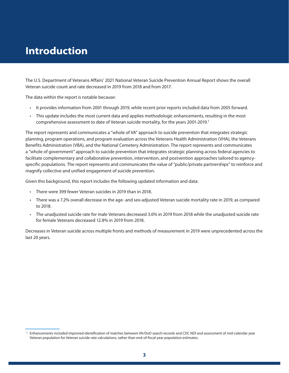# <span id="page-2-0"></span>**Introduction**

The U.S. Department of Veterans Affairs' 2021 National Veteran Suicide Prevention Annual Report shows the overall Veteran suicide count and rate decreased in 2019 from 2018 and from 2017.

The data within the report is notable because:

- It provides information from 2001 through 2019, while recent prior reports included data from 2005 forward.
- This update includes the most current data and applies methodologic enhancements, resulting in the most comprehensive assessment to date of Veteran suicide mortality, for the years 2001-2019.<sup>2</sup>

The report represents and communicates a "whole of VA" approach to suicide prevention that integrates strategic planning, program operations, and program evaluation across the Veterans Health Administration (VHA), the Veterans Benefits Administration (VBA), and the National Cemetery Administration. The report represents and communicates a "whole of government" approach to suicide prevention that integrates strategic planning across federal agencies to facilitate complementary and collaborative prevention, intervention, and postvention approaches tailored to agencyspecific populations. The report represents and communicates the value of "public/private partnerships" to reinforce and magnify collective and unified engagement of suicide prevention.

Given this background, this report includes the following updated information and data:

- There were 399 fewer Veteran suicides in 2019 than in 2018.
- There was a 7.2% overall decrease in the age- and sex-adjusted Veteran suicide mortality rate in 2019, as compared to 2018.
- The unadjusted suicide rate for male Veterans decreased 3.6% in 2019 from 2018 while the unadjusted suicide rate for female Veterans decreased 12.8% in 2019 from 2018.

Decreases in Veteran suicide across multiple fronts and methods of measurement in 2019 were unprecedented across the last 20 years.

<sup>2</sup> Enhancements included improved identification of matches between VA/DoD search records and CDC NDI and assessment of mid-calendar year Veteran population for Veteran suicide rate calculations, rather than end-of-fiscal-year population estimates.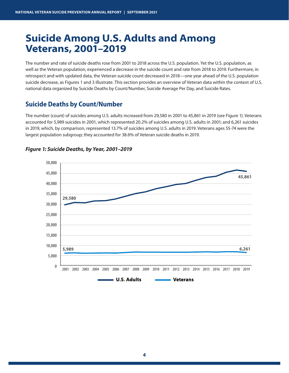# <span id="page-3-0"></span>**Suicide Among U.S. Adults and Among Veterans, 2001–2019**

The number and rate of suicide deaths rose from 2001 to 2018 across the U.S. population. Yet the U.S. population, as well as the Veteran population, experienced a decrease in the suicide count and rate from 2018 to 2019. Furthermore, in retrospect and with updated data, the Veteran suicide count decreased in 2018—one year ahead of the U.S. population suicide decrease, as Figures 1 and 3 illustrate. This section provides an overview of Veteran data within the context of U.S. national data organized by Suicide Deaths by Count/Number, Suicide Average Per Day, and Suicide Rates.

### **Suicide Deaths by Count/Number**

The number (count) of suicides among U.S. adults increased from 29,580 in 2001 to 45,861 in 2019 (see Figure 1). Veterans accounted for 5,989 suicides in 2001, which represented 20.2% of suicides among U.S. adults in 2001; and 6,261 suicides in 2019, which, by comparison, represented 13.7% of suicides among U.S. adults in 2019. Veterans ages 55-74 were the largest population subgroup; they accounted for 38.6% of Veteran suicide deaths in 2019.



#### *Figure 1: Suicide Deaths, by Year, 2001–2019*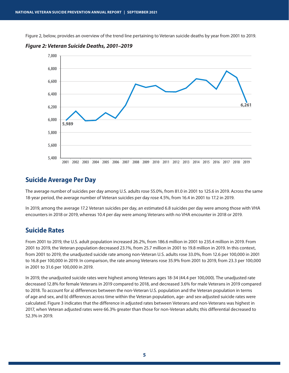<span id="page-4-0"></span>Figure 2, below, provides an overview of the trend line pertaining to Veteran suicide deaths by year from 2001 to 2019.



*Figure 2: Veteran Suicide Deaths, 2001–2019*

#### **Suicide Average Per Day**

The average number of suicides per day among U.S. adults rose 55.0%, from 81.0 in 2001 to 125.6 in 2019. Across the same 18-year period, the average number of Veteran suicides per day rose 4.5%, from 16.4 in 2001 to 17.2 in 2019.

In 2019, among the average 17.2 Veteran suicides per day, an estimated 6.8 suicides per day were among those with VHA encounters in 2018 or 2019, whereas 10.4 per day were among Veterans with no VHA encounter in 2018 or 2019.

#### **Suicide Rates**

From 2001 to 2019, the U.S. adult population increased 26.2%, from 186.6 million in 2001 to 235.4 million in 2019. From 2001 to 2019, the Veteran population decreased 23.1%, from 25.7 million in 2001 to 19.8 million in 2019. In this context, from 2001 to 2019, the unadjusted suicide rate among non-Veteran U.S. adults rose 33.0%, from 12.6 per 100,000 in 2001 to 16.8 per 100,000 in 2019. In comparison, the rate among Veterans rose 35.9% from 2001 to 2019, from 23.3 per 100,000 in 2001 to 31.6 per 100,000 in 2019.

In 2019, the unadjusted suicide rates were highest among Veterans ages 18-34 (44.4 per 100,000). The unadjusted rate decreased 12.8% for female Veterans in 2019 compared to 2018, and decreased 3.6% for male Veterans in 2019 compared to 2018. To account for a) differences between the non-Veteran U.S. population and the Veteran population in terms of age and sex, and b) differences across time within the Veteran population, age- and sex-adjusted suicide rates were calculated. Figure 3 indicates that the difference in adjusted rates between Veterans and non-Veterans was highest in 2017, when Veteran adjusted rates were 66.3% greater than those for non-Veteran adults; this differential decreased to 52.3% in 2019.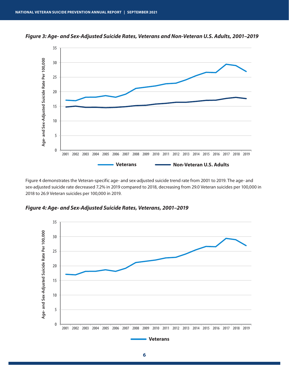

*Figure 3: Age- and Sex-Adjusted Suicide Rates, Veterans and Non-Veteran U.S. Adults, 2001–2019*

Figure 4 demonstrates the Veteran-specific age- and sex-adjusted suicide trend rate from 2001 to 2019. The age- and sex-adjusted suicide rate decreased 7.2% in 2019 compared to 2018, decreasing from 29.0 Veteran suicides per 100,000 in 2018 to 26.9 Veteran suicides per 100,000 in 2019.

*Figure 4: Age- and Sex-Adjusted Suicide Rates, Veterans, 2001–2019*

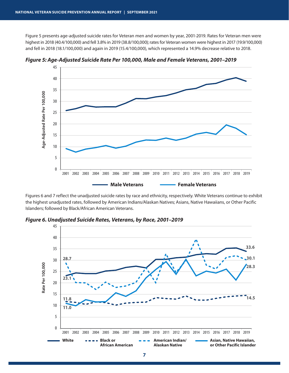Figure 5 presents age-adjusted suicide rates for Veteran men and women by year, 2001-2019. Rates for Veteran men were highest in 2018 (40.4/100,000) and fell 3.8% in 2019 (38.8/100,000); rates for Veteran women were highest in 2017 (19.9/100,000) and fell in 2018 (18.1/100,000) and again in 2019 (15.4/100,000), which represented a 14.9% decrease relative to 2018.



*Figure 5: Age-Adjusted Suicide Rate Per 100,000, Male and Female Veterans, 2001–2019*

Figures 6 and 7 reflect the unadjusted suicide rates by race and ethnicity, respectively. White Veterans continue to exhibit the highest unadjusted rates, followed by American Indians/Alaskan Natives; Asians, Native Hawaiians, or Other Pacific Islanders; followed by Black/African American Veterans.

*Figure 6. Unadjusted Suicide Rates, Veterans, by Race, 2001–2019*

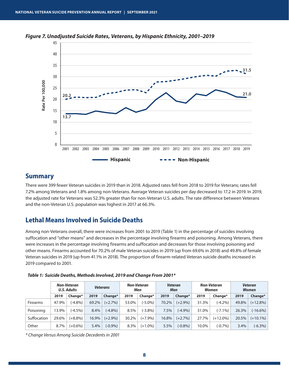

<span id="page-7-0"></span>*Figure 7. Unadjusted Suicide Rates, Veterans, by Hispanic Ethnicity, 2001–2019*

#### **Summary**

There were 399 fewer Veteran suicides in 2019 than in 2018. Adjusted rates fell from 2018 to 2019 for Veterans; rates fell 7.2% among Veterans and 1.8% among non-Veterans. Average Veteran suicides per day decreased to 17.2 in 2019. In 2019, the adjusted rate for Veterans was 52.3% greater than for non-Veteran U.S. adults. The rate difference between Veterans and the non-Veteran U.S. population was highest in 2017 at 66.3%.

### **Lethal Means Involved in Suicide Deaths**

Among non-Veterans overall, there were increases from 2001 to 2019 (Table 1) in the percentage of suicides involving suffocation and "other means" and decreases in the percentage involving firearms and poisoning. Among Veterans, there were increases in the percentage involving firearms and suffocation and decreases for those involving poisoning and other means. Firearms accounted for 70.2% of male Veteran suicides in 2019 (up from 69.6% in 2018) and 49.8% of female Veteran suicides in 2019 (up from 41.1% in 2018). The proportion of firearm-related Veteran suicide deaths increased in 2019 compared to 2001.

|                 | Non-Veteran<br><b>U.S. Adults</b> |            | <b>Veterans</b> |            | <b>Non-Veteran</b><br>Men |            | <b>Veteran</b><br>Men |            | Non-Veteran<br>Women |             | <b>Veteran</b><br><b>Women</b> |             |
|-----------------|-----------------------------------|------------|-----------------|------------|---------------------------|------------|-----------------------|------------|----------------------|-------------|--------------------------------|-------------|
|                 | 2019                              | Change*    | 2019            | Change*    | 2019                      | Change*    | 2019                  | Change*    | 2019                 | Change*     | 2019                           | Change*     |
| <b>Firearms</b> | 47.9%                             | $(-4.8\%)$ | 69.2%           | $(+2.7%)$  | 53.0%                     | $(-5.0\%)$ | 70.2%                 | $(+2.9\%)$ | 31.3%                | $(-4.2\%)$  | 49.8%                          | $(+12.8\%)$ |
| Poisoning       | 13.9%                             | $(-4.5%)$  | 8.4%            | $(-4.8\%)$ | 8.5%                      | $(-3.8\%)$ | 7.5%                  | $(-4.9\%)$ | 31.0%                | $(-7.1\%)$  | 26.3%                          | $(-16.6%)$  |
| Suffocation     | 29.6%                             | $(+8.8\%)$ | 16.9%           | $(+2.9\%)$ | 30.2%                     | $(+7.9\%)$ | 16.8%                 | $(+2.7%)$  | 27.7%                | $(+12.0\%)$ | 20.5%                          | $(+10.1\%)$ |
| Other           | 8.7%                              | $(+0.6\%)$ | 5.4%            | $(-0.9\%)$ | 8.3%                      | $(+1.0\%)$ | 5.5%                  | $(-0.8%)$  | 10.0%                | $(-0.7%)$   | 3.4%                           | $(-6.3\%)$  |

*Table 1: Suicide Deaths, Methods Involved, 2019 and Change From 2001\**

*\* Change Versus Among Suicide Decedents in 2001*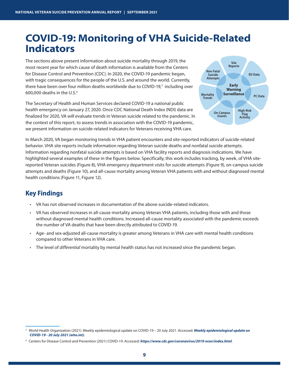# <span id="page-8-0"></span>**COVID-19: Monitoring of VHA Suicide-Related Indicators**

The sections above present information about suicide mortality through 2019, the most recent year for which cause of death information is available from the Centers for Disease Control and Prevention (CDC). In 2020, the COVID-19 pandemic began, with tragic consequences for the people of the U.S. and around the world. Currently, there have been over four million deaths worldwide due to COVID-19,<sup>3</sup> including over 600,000 deaths in the U.S.4

The Secretary of Health and Human Services declared COVID-19 a national public health emergency on January 27, 2020. Once CDC National Death Index (NDI) data are finalized for 2020, VA will evaluate trends in Veteran suicide related to the pandemic. In the context of this report, to assess trends in association with the COVID-19 pandemic, we present information on suicide-related indicators for Veterans receiving VHA care.



In March 2020, VA began monitoring trends in VHA patient encounters and site-reported indicators of suicide-related behavior. VHA site reports include information regarding Veteran suicide deaths and nonfatal suicide attempts. Information regarding nonfatal suicide attempts is based on VHA facility reports and diagnosis indications. We have highlighted several examples of these in the figures below. Specifically, this work includes tracking, by week, of VHA sitereported Veteran suicides (Figure 8), VHA emergency department visits for suicide attempts (Figure 9), on-campus suicide attempts and deaths (Figure 10), and all-cause mortality among Veteran VHA patients with and without diagnosed mental health conditions (Figure 11, Figure 12).

# **Key Findings**

- VA has not observed increases in documentation of the above suicide-related indicators.
- VA has observed increases in all-cause mortality among Veteran VHA patients, including those with and those without diagnosed mental health conditions. Increased all-cause mortality associated with the pandemic exceeds the number of VA deaths that have been directly attributed to COVID-19.
- Age- and sex-adjusted all-cause mortality is greater among Veterans in VHA care with mental health conditions compared to other Veterans in VHA care.
- The level of *differential* mortality by mental health status has not increased since the pandemic began.

<sup>3</sup> World Health Organization (2021). Weekly epidemiological update on COVID-19 – 20 July 2021. Accessed: *[Weekly epidemiological update on](https://www.who.int/publications/m/item/weekly-epidemiological-update-on-covid-19---20-july-2021)  [COVID-19 - 20 July 2021 \(who.int\).](https://www.who.int/publications/m/item/weekly-epidemiological-update-on-covid-19---20-july-2021)*

<sup>4</sup> Centers for Disease Control and Prevention (2021) COVID-19. Accessed: *<https://www.cdc.gov/coronavirus/2019-ncov/index.html>*.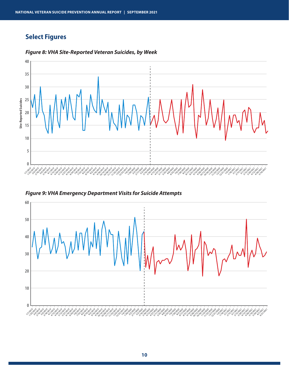# <span id="page-9-0"></span>**Select Figures**



#### *Figure 8: VHA Site-Reported Veteran Suicides, by Week*

*Figure 9: VHA Emergency Department Visits for Suicide Attempts*

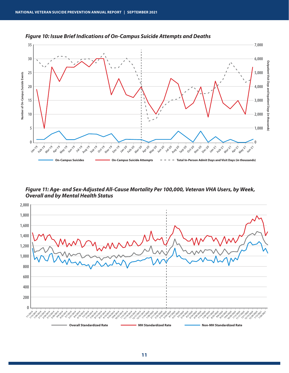

*Figure 10: Issue Brief Indications of On-Campus Suicide Attempts and Deaths*

*Figure 11: Age- and Sex-Adjusted All-Cause Mortality Per 100,000, Veteran VHA Users, by Week, Overall and by Mental Health Status*

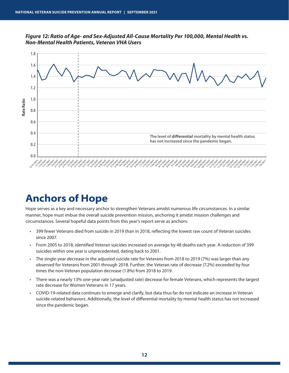<span id="page-11-0"></span>*Figure 12: Ratio of Age- and Sex-Adjusted All-Cause Mortality Per 100,000, Mental Health vs. Non-Mental Health Patients, Veteran VHA Users*



# **Anchors of Hope**

Hope serves as a key and necessary anchor to strengthen Veterans amidst numerous life circumstances. In a similar manner, hope must imbue the overall suicide prevention mission, anchoring it amidst mission challenges and circumstances. Several hopeful data points from this year's report serve as anchors:

- 399 fewer Veterans died from suicide in 2019 than in 2018, reflecting the lowest raw count of Veteran suicides since 2007.
- From 2005 to 2018, identified Veteran suicides increased on average by 48 deaths each year. A reduction of 399 suicides within one year is unprecedented, dating back to 2001.
- The single-year decrease in the adjusted suicide rate for Veterans from 2018 to 2019 (7%) was larger than any observed for Veterans from 2001 through 2018. Further, the Veteran rate of decrease (7.2%) exceeded by four times the non-Veteran population decrease (1.8%) from 2018 to 2019.
- There was a nearly 13% one-year rate (unadjusted rate) decrease for female Veterans, which represents the largest rate decrease for Women Veterans in 17 years.
- COVID-19-related data continues to emerge and clarify, but data thus far do not indicate an increase in Veteran suicide-related behaviors. Additionally, the level of differential mortality by mental health status has not increased since the pandemic began.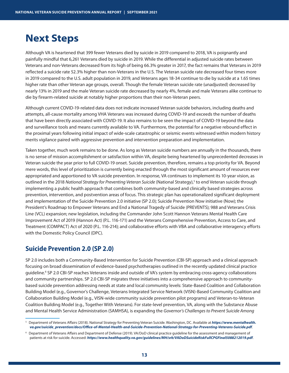# <span id="page-12-0"></span>**Next Steps**

Although VA is heartened that 399 fewer Veterans died by suicide in 2019 compared to 2018, VA is poignantly and painfully mindful that 6,261 Veterans died by suicide in 2019. While the differential in adjusted suicide rates between Veterans and non-Veterans decreased from its high of being 66.3% greater in 2017, the fact remains that Veterans in 2019 reflected a suicide rate 52.3% higher than non-Veterans in the U.S. The Veteran suicide rate decreased four times more in 2019 compared to the U.S. adult population in 2019, and Veterans ages 18-34 continue to die by suicide at a 1.65 times higher rate than other Veteran age groups, overall. Though the female Veteran suicide rate (unadjusted) decreased by nearly 13% in 2019 and the male Veteran suicide rate decreased by nearly 4%, female and male Veterans alike continue to die by firearm-related suicide at notably higher proportions than their non-Veteran peers.

Although current COVID-19-related data does not indicate increased Veteran suicide behaviors, including deaths and attempts, all-cause mortality among VHA Veterans was increased during COVID-19 and exceeds the number of deaths that have been directly associated with COVID-19. It also remains to be seen the impact of COVID-19 beyond the data and surveillance tools and means currently available to VA. Furthermore, the potential for a negative rebound effect in the proximal years following initial impact of wide-scale catastrophic or seismic events witnessed within modern history merits vigilance paired with aggressive prevention and intervention preparation and implementation.

Taken together, much work remains to be done. As long as Veteran suicide numbers are annually in the thousands, there is no sense of mission accomplishment or satisfaction within VA, despite being heartened by unprecedented decreases in Veteran suicide the year prior to full COVID-19 onset. Suicide prevention, therefore, remains a top priority for VA. Beyond mere words, this level of prioritization is currently being enacted through the most significant amount of resources ever appropriated and apportioned to VA suicide prevention. In response, VA continues to implement its 10-year vision, as outlined in the 2018 *National Strategy for Preventing Veteran Suicide* (National Strategy),<sup>5</sup> to end Veteran suicide through implementing a public health approach that combines both community-based and clinically based strategies across prevention, intervention, and postvention areas of focus. This strategic plan has operationalized significant deployment and implementation of the Suicide Prevention 2.0 initiative (SP 2.0); Suicide Prevention Now initiative (Now); the President's Roadmap to Empower Veterans and End a National Tragedy of Suicide (PREVENTS); 988 and Veterans Crisis Line (VCL) expansion; new legislation, including the Commander John Scott Hannon Veterans Mental Health Care Improvement Act of 2019 (Hannon Act) (P.L. 116-171) and the Veterans Comprehensive Prevention, Access to Care, and Treatment (COMPACT) Act of 2020 (P.L. 116-214); and collaborative efforts with VBA and collaborative interagency efforts with the Domestic Policy Council (DPC).

## **Suicide Prevention 2.0 (SP 2.0)**

SP 2.0 includes both a Community-Based Intervention for Suicide Prevention (CBI-SP) approach and a clinical approach focusing on broad dissemination of evidence-based psychotherapies outlined in the recently updated clinical practice guideline.<sup>6</sup> SP 2.0 CBI-SP reaches Veterans inside and outside of VA's system by embracing cross-agency collaborations and community partnerships. SP 2.0 CBI-SP migrates three initiatives into a comprehensive approach to communitybased suicide prevention addressing needs at state and local community levels: State-Based Coalition and Collaboration Building Model (e.g., Governor's Challenge, Veterans Integrated Service Network (VISN)-Based Community Coalition and Collaboration Building Model (e.g., VISN-wide community suicide prevention pilot programs) and Veteran-to-Veteran Coalition Building Model (e.g., Together With Veterans). For state-level prevention, VA, along with the Substance Abuse and Mental Health Service Administration (SAMHSA), is expanding the *Governor's Challenges to Prevent Suicide Among* 

<sup>5</sup> Department of Veterans Affairs (2018). National Strategy for Preventing Veteran Suicide. Washington, DC. Available at *[https://www.mentalhealth.](https://www.mentalhealth.va.gov/suicide_prevention/docs/Office-of-Mental-Health-and-Suicide-Prevention-National-Strategy-for-Preventing-Veterans-Suicide.pdf) [va.gov/suicide\\_prevention/docs/Office-of-Mental-Health-and-Suicide-Prevention-National-Strategy-for-Preventing-Veterans-Suicide.pdf](https://www.mentalhealth.va.gov/suicide_prevention/docs/Office-of-Mental-Health-and-Suicide-Prevention-National-Strategy-for-Preventing-Veterans-Suicide.pdf)*.

<sup>6</sup> Department of Veterans Affairs and Department of Defense (2019). VA/DoD clinical practice guideline for the assessment and management of patients at risk for suicide. Accessed: *<https://www.healthquality.va.gov/guidelines/MH/srb/VADoDSuicideRiskFullCPGFinal5088212019.pdf>*.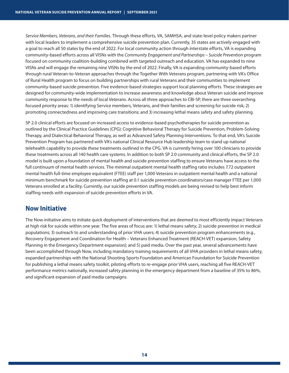<span id="page-13-0"></span>*Service Members, Veterans, and their Families*. Through these efforts, VA, SAMHSA, and state-level policy makers partner with local leaders to implement a comprehensive suicide prevention plan. Currently, 35 states are actively engaged with a goal to reach all 50 states by the end of 2022. For local community action through interstate efforts, VA is expanding community-based efforts across all VISNs with the *Community Engagement and Partnerships – Suicide Prevention* program focused on community coalition-building combined with targeted outreach and education. VA has expanded to nine VISNs and will engage the remaining nine VISNs by the end of 2022. Finally, VA is expanding community-based efforts through rural Veteran-to-Veteran approaches through the Together With Veterans program, partnering with VA's Office of Rural Health program to focus on building partnerships with rural Veterans and their communities to implement community-based suicide prevention. Five evidence-based strategies support local planning efforts. These strategies are designed for community-wide implementation to increase awareness and knowledge about Veteran suicide and improve community response to the needs of local Veterans. Across all three approaches to CBI-SP, there are three overarching focused priority areas: 1) identifying Service members, Veterans, and their families and screening for suicide risk; 2) promoting connectedness and improving care transitions; and 3) increasing lethal means safety and safety planning.

SP 2.0 clinical efforts are focused on increased access to evidence-based psychotherapies for suicide prevention as outlined by the Clinical Practice Guidelines (CPG): Cognitive Behavioral Therapy for Suicide Prevention, Problem-Solving Therapy, and Dialectical Behavioral Therapy, as well as Advanced Safety Planning Interventions. To that end, VA's Suicide Prevention Program has partnered with VA's national Clinical Resource Hub leadership team to stand up national telehealth capability to provide these treatments outlined in the CPG. VA is currently hiring over 100 clinicians to provide these treatments across all 140 health care systems. In addition to both SP 2.0 community and clinical efforts, the SP 2.0 model is built upon a foundation of mental health and suicide prevention staffing to ensure Veterans have access to the full continuum of mental health services. The minimal outpatient mental health staffing ratio includes 7.72 outpatient mental health full-time employee equivalent (FTEE) staff per 1,000 Veterans in outpatient mental health and a national minimum benchmark for suicide prevention staffing at 0.1 suicide prevention coordinators/case manager FTEE per 1,000 Veterans enrolled at a facility. Currently, our suicide prevention staffing models are being revised to help best inform staffing needs with expansion of suicide prevention efforts in VA.

### **Now Initiative**

The Now initiative aims to initiate quick deployment of interventions that are deemed to most efficiently impact Veterans at high risk for suicide within one year. The five areas of focus are: 1) lethal means safety; 2) suicide prevention in medical populations; 3) outreach to and understanding of prior VHA users; 4) suicide prevention program enhancements (e.g., Recovery Engagement and Coordination for Health – Veterans Enhanced Treatment (REACH-VET) expansion, Safety Planning in the Emergency Department expansion); and 5) paid media. Over the past year, several advancements have been accomplished through Now, including mandatory training requirements of all VHA providers in lethal means safety, expanded partnerships with the National Shooting Sports Foundation and American Foundation for Suicide Prevention for publishing a lethal means safety toolkit, piloting efforts to re-engage prior VHA users, reaching all five REACH-VET performance metrics nationally, increased safety planning in the emergency department from a baseline of 35% to 86%, and significant expansion of paid media campaigns.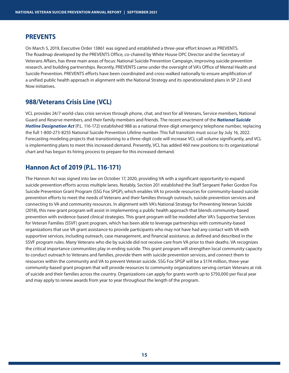### <span id="page-14-0"></span>**PREVENTS**

On March 5, 2019, Executive Order 13861 was signed and established a three-year effort known as PREVENTS. The Roadmap developed by the PREVENTS Office, co-chaired by White House DPC Director and the Secretary of Veterans Affairs, has three main areas of focus: National Suicide Prevention Campaign, improving suicide prevention research, and building partnerships. Recently, PREVENTS came under the oversight of VA's Office of Mental Health and Suicide Prevention. PREVENTS efforts have been coordinated and cross-walked nationally to ensure amplification of a unified public health approach in alignment with the National Strategy and its operationalized plans in SP 2.0 and Now initiatives.

## **988/Veterans Crisis Line (VCL)**

VCL provides 24/7 world-class crisis services through phone, chat, and text for all Veterans, Service members, National Guard and Reserve members, and their family members and friends. The recent enactment of the *[National Suicide](https://www.congress.gov/bill/116th-congress/senate-bill/2661/text)  [Hotline Designation Act](https://www.congress.gov/bill/116th-congress/senate-bill/2661/text)* (P.L. 116-172) established 988 as a national three-digit emergency telephone number, replacing the full 1-800-273-8255 National Suicide Prevention Lifeline number. This full transition must occur by July 16, 2022. Forecasting modeling projects that transitioning to a three-digit code will increase VCL call volume significantly, and VCL is implementing plans to meet this increased demand. Presently, VCL has added 460 new positions to its organizational chart and has begun its hiring process to prepare for this increased demand.

### **Hannon Act of 2019 (P.L. 116-171)**

The Hannon Act was signed into law on October 17, 2020, providing VA with a significant opportunity to expand suicide prevention efforts across multiple lanes. Notably, Section 201 established the Staff Sergeant Parker Gordon Fox Suicide Prevention Grant Program (SSG Fox SPGP), which enables VA to provide resources for community-based suicide prevention efforts to meet the needs of Veterans and their families through outreach, suicide prevention services and connecting to VA and community resources. In alignment with VA's National Strategy for Preventing Veteran Suicide (2018), this new grant program will assist in implementing a public health approach that blends community-based prevention with evidence-based clinical strategies. This grant program will be modeled after VA's Supportive Services for Veteran Families (SSVF) grant program, which has been able to leverage partnerships with community-based organizations that use VA grant assistance to provide participants who may not have had any contact with VA with supportive services, including outreach, case management, and financial assistance, as defined and described in the SSVF program rules. Many Veterans who die by suicide did not receive care from VA prior to their deaths. VA recognizes the critical importance communities play in ending suicide. This grant program will strengthen local community capacity to conduct outreach to Veterans and families, provide them with suicide prevention services, and connect them to resources within the community and VA to prevent Veteran suicide. SSG Fox SPGP will be a \$174 million, three-year community-based grant program that will provide resources to community organizations serving certain Veterans at risk of suicide and their families across the country. Organizations can apply for grants worth up to \$750,000 per fiscal year and may apply to renew awards from year to year throughout the length of the program.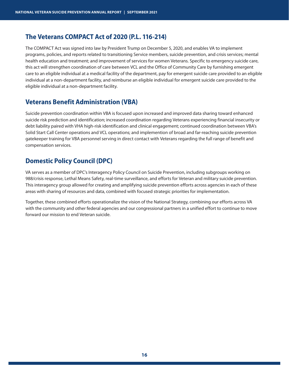### <span id="page-15-0"></span>**The Veterans COMPACT Act of 2020 (P.L. 116-214)**

The COMPACT Act was signed into law by President Trump on December 5, 2020, and enables VA to implement programs, policies, and reports related to transitioning Service members, suicide prevention, and crisis services; mental health education and treatment; and improvement of services for women Veterans. Specific to emergency suicide care, this act will strengthen coordination of care between VCL and the Office of Community Care by furnishing emergent care to an eligible individual at a medical facility of the department, pay for emergent suicide care provided to an eligible individual at a non-department facility, and reimburse an eligible individual for emergent suicide care provided to the eligible individual at a non-department facility.

## **Veterans Benefit Administration (VBA)**

Suicide prevention coordination within VBA is focused upon increased and improved data sharing toward enhanced suicide risk prediction and identification; increased coordination regarding Veterans experiencing financial insecurity or debt liability paired with VHA high-risk identification and clinical engagement; continued coordination between VBA's Solid Start Call Center operations and VCL operations; and implemention of broad and far-reaching suicide prevention gatekeeper training for VBA personnel serving in direct contact with Veterans regarding the full range of benefit and compensation services.

# **Domestic Policy Council (DPC)**

VA serves as a member of DPC's Interagency Policy Council on Suicide Prevention, including subgroups working on 988/crisis response, Lethal Means Safety, real-time surveillance, and efforts for Veteran and military suicide prevention. This interagency group allowed for creating and amplifying suicide prevention efforts across agencies in each of these areas with sharing of resources and data, combined with focused strategic priorities for implementation.

Together, these combined efforts operationalize the vision of the National Strategy, combining our efforts across VA with the community and other federal agencies and our congressional partners in a unified effort to continue to move forward our mission to end Veteran suicide.